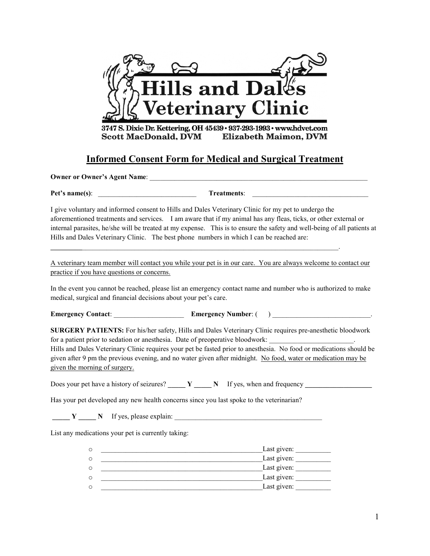

3747 S. Dixie Dr. Kettering, OH 45439 · 937-293-1993 · www.hdvet.com **Scott MacDonald, DVM Elizabeth Maimon, DVM** 

## **Informed Consent Form for Medical and Surgical Treatment**

**Owner or Owner's Agent Name:**  $\blacksquare$ 

**Pet's name(s)**: \_\_\_\_\_\_\_\_\_\_\_\_\_\_\_\_\_\_\_\_\_\_\_\_\_\_\_\_ **Treatments**: \_\_\_\_\_\_\_\_\_\_\_\_\_\_\_\_\_\_\_\_\_\_\_\_\_\_\_\_\_\_\_\_\_

I give voluntary and informed consent to Hills and Dales Veterinary Clinic for my pet to undergo the aforementioned treatments and services. I am aware that if my animal has any fleas, ticks, or other external or internal parasites, he/she will be treated at my expense. This is to ensure the safety and well-being of all patients at Hills and Dales Veterinary Clinic. The best phone numbers in which I can be reached are:

A veterinary team member will contact you while your pet is in our care. You are always welcome to contact our practice if you have questions or concerns.

**\_\_\_\_\_\_\_\_\_**\_\_\_\_\_\_\_\_\_\_\_\_\_\_\_\_\_\_\_\_\_\_\_\_\_\_\_\_\_\_\_\_\_\_\_\_\_\_\_\_\_\_\_\_\_\_\_\_\_\_\_\_\_\_\_\_\_\_\_\_\_\_\_\_\_\_\_\_\_\_\_\_\_.

In the event you cannot be reached, please list an emergency contact name and number who is authorized to make medical, surgical and financial decisions about your pet's care.

**Emergency Contact: Emergency Number: ( )**  $\qquad \qquad$ 

**SURGERY PATIENTS:** For his/her safety, Hills and Dales Veterinary Clinic requires pre-anesthetic bloodwork for a patient prior to sedation or anesthesia. Date of preoperative bloodwork:

Hills and Dales Veterinary Clinic requires your pet be fasted prior to anesthesia. No food or medications should be given after 9 pm the previous evening, and no water given after midnight. No food, water or medication may be given the morning of surgery.

Does your pet have a history of seizures? **\_\_\_\_\_ Y \_\_\_\_\_ N** If yes, when and frequency **\_\_\_\_\_\_\_\_\_\_\_\_\_\_\_\_\_\_\_**

Has your pet developed any new health concerns since you last spoke to the veterinarian?

**\_\_\_\_\_ Y \_\_\_\_\_ N** If yes, please explain: \_\_\_\_\_\_\_\_\_\_\_\_\_\_\_\_\_\_\_\_\_\_\_\_\_\_\_\_\_\_\_\_\_\_\_\_\_\_\_\_\_\_

List any medications your pet is currently taking:

| O | Last given: |
|---|-------------|
| O | Last given: |
| O | Last given: |
| O | Last given: |
| O | Last given: |
|   |             |